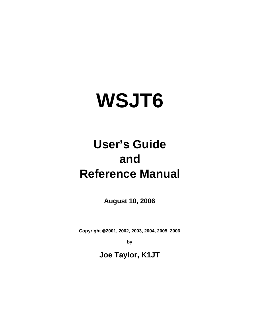# **WSJT6**

## **User's Guide and Reference Manual**

**August 10, 2006**

**Copyright** ©**2001, 2002, 2003, 2004, 2005, 2006** 

**by** 

**Joe Taylor, K1JT**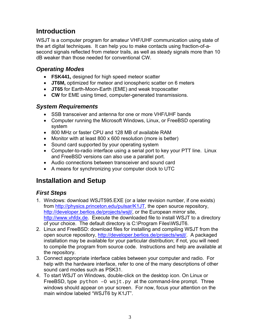## <span id="page-2-0"></span>**Introduction**

WSJT is a computer program for amateur VHF/UHF communication using state of the art digital techniques. It can help you to make contacts using fraction-of-asecond signals reflected from meteor trails, as well as steady signals more than 10 dB weaker than those needed for conventional CW.

#### *Operating Modes*

- **FSK441,** designed for high speed meteor scatter
- **JT6M,** optimized for meteor and ionospheric scatter on 6 meters
- **JT65** for Earth-Moon-Earth (EME) and weak troposcatter
- **CW** for EME using timed, computer-generated transmissions.

#### *System Requirements*

- SSB transceiver and antenna for one or more VHF/UHF bands
- Computer running the Microsoft Windows, Linux, or FreeBSD operating system
- 800 MHz or faster CPU and 128 MB of available RAM
- Monitor with at least 800 x 600 resolution (more is better)
- Sound card supported by your operating system
- Computer-to-radio interface using a serial port to key your PTT line. Linux and FreeBSD versions can also use a parallel port.
- Audio connections between transceiver and sound card
- A means for synchronizing your computer clock to UTC

## **Installation and Setup**

#### *First Steps*

- 1. Windows: download WSJT595.EXE (or a later revision number, if one exists) from <http://physics.princeton.edu/pulsar/K1JT>, the open source repository, <http://developer.berlios.de/projects/wsjt/>, or the European mirror site, [http://www.vhfdx.de](http://www.vhfdx.de/). Execute the downloaded file to install WSJT to a directory of your choice. The default directory is C:\Program Files\WSJT6.
- 2. Linux and FreeBSD: download files for installing and compiling WSJT from the open source repository, [http://developer.berlios.de/projects/wsjt/.](http://developer.berlios.de/projects/wsjt/) A packaged installation may be available for your particular distribution; if not, you will need to compile the program from source code. Instructions and help are available at the repository.
- 3. Connect appropriate interface cables between your computer and radio. For help with the hardware interface, refer to one of the many descriptions of other sound card modes such as PSK31.
- 4. To start WSJT on Windows, double-click on the desktop icon. On Linux or FreeBSD, type  $python -O wsjt.py$  at the command-line prompt. Three windows should appear on your screen. For now, focus your attention on the main window labeled "WSJT6 by K1JT".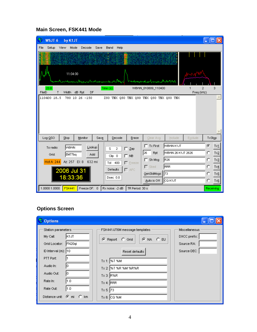## **Main Screen, FSK441 Mode**

| N.                 | WSJT 6                           | by K1JT                                                    |      |                                         |      |                                                  |                       |                                                                |                                                                                               |                                                                                                              |            | ٠                           |                                                            |
|--------------------|----------------------------------|------------------------------------------------------------|------|-----------------------------------------|------|--------------------------------------------------|-----------------------|----------------------------------------------------------------|-----------------------------------------------------------------------------------------------|--------------------------------------------------------------------------------------------------------------|------------|-----------------------------|------------------------------------------------------------|
| File               | Setup View                       |                                                            | Mode | Decode                                  | Save | Band                                             | Help                  |                                                                |                                                                                               |                                                                                                              |            |                             |                                                            |
|                    |                                  |                                                            |      |                                         |      |                                                  |                       |                                                                |                                                                                               |                                                                                                              |            |                             |                                                            |
|                    |                                  | 11:04:00                                                   |      | chemodenmenthemenethedratementhementhal |      |                                                  |                       |                                                                | manuscription of the company of the Mart Start                                                |                                                                                                              |            |                             |                                                            |
| FileID             | 23.0<br>T                        | Width dB Rpt                                               |      | DF                                      |      | Time(s)                                          |                       |                                                                | W8VW_010809_110400                                                                            |                                                                                                              | Freq (kHz) | 2                           | 3                                                          |
|                    | 110400 18.5                      |                                                            |      | 780 10 26 -150                          |      |                                                  |                       |                                                                | ZSO TNX QSO TNX QSO TNX QSO TNX QSO TNX                                                       |                                                                                                              |            |                             |                                                            |
|                    |                                  |                                                            |      |                                         |      |                                                  |                       |                                                                |                                                                                               |                                                                                                              |            |                             |                                                            |
|                    | Log QSO                          | Stop                                                       |      | Monitor                                 | Save |                                                  | Decode                | Erase                                                          | Clear Avg                                                                                     | <b>Include</b>                                                                                               | Exclude    | TxStop                      |                                                            |
|                    | To radio:<br>Grid:<br>Hot A: 244 | wsww<br>EM77bq<br>Az: 257 EI: 8<br>2006 Jul 31<br>18:33:36 |      | Lookup<br>Add<br>632 mi                 |      | s<br>$Clip_0$ $0$<br>Tol<br>Defaults<br>Dsec 0.0 | $\overline{2}$<br>400 | $\Gamma$ Zap<br>$\Gamma$ NB<br>$\Gamma$ Ereeze<br>$\Gamma$ AFC | $\Box$ Tx First<br>26<br>Rpt<br>$\Gamma$ Sh Msg<br>$\Gamma$ Sked<br>GenStdMsgs<br>Auto is Off | <b>MSMN K1JT</b><br>W8WN 26 K1JT 2626<br>R <sub>26</sub><br><b>RRR</b><br>$\parallel$ 73<br><b> </b> СQ К1ЈТ |            | G.<br>o<br>о<br>c<br>о<br>O | Tx1<br>Tx2<br>Tx2<br>Tx4<br>$Tx \leq$<br>$Tx\underline{6}$ |
| $\ $ 1.0000 1.0000 |                                  |                                                            |      |                                         |      |                                                  |                       |                                                                |                                                                                               |                                                                                                              |            |                             |                                                            |

## <span id="page-3-0"></span>**Options Screen**

| <b>Options</b>                                                                                                                                                                                                          |                                                                                                                                                                                         |                                                            |
|-------------------------------------------------------------------------------------------------------------------------------------------------------------------------------------------------------------------------|-----------------------------------------------------------------------------------------------------------------------------------------------------------------------------------------|------------------------------------------------------------|
| Station parameters<br>K1JT<br>My Call:<br>FN <sub>20qi</sub><br>Grid Locator:<br>ID Interval (m): 10<br>PTT Port:<br>Audio In:<br>Audio Out:<br>10<br>1.0<br>Rate In:<br> 1.0 <br>Rate Out:<br>Distance unit: C mi C km | FSK441/JT6M message templates<br>G NA C EU<br>C Report C Grid<br>Reset defaults<br>Tx 1: <b>%T %M</b><br>Tx 2:  %T %R %M %R%R<br>$Tx 3:$ R%R<br>Tx 4:  RRR<br>Tx 5: 73<br>$Tx 6: CO$ %M | Miscellaneous<br>DXCC prefix:<br>Source RA:<br>Source DEC: |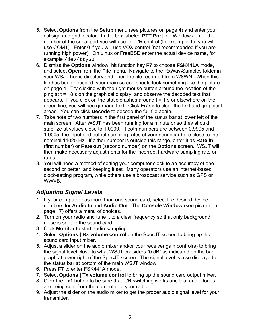- <span id="page-4-0"></span>5. Select **Options** from the **Setup** menu (see pictures on page [4](#page-3-0)) and enter your callsign and grid locator. In the box labeled **PTT Port,** on Windows enter the number of the serial port you will use for T/R control (for example 1 if you will use COM1). Enter 0 if you will use VOX control (not recommended if you are running high power). On Linux or FreeBSD enter the actual device name, for example /dev/ttyS0.
- 6. Dismiss the **Options** window, hit function key **F7** to choose **FSK441A** mode, and select **Open** from the **File** menu. Navigate to the RxWav\Samples folder in your WSJT home directory and open the file recorded from W8WN. When this file has been decoded, your main screen should look something like the picture on page [4.](#page-3-0) Try clicking with the right mouse button around the location of the ping at t = 18 s on the graphical display, and observe the decoded text that appears. If you click on the static crashes around  $t = 1$  s or elsewhere on the green line, you will see garbage text. Click **Erase** to clear the text and graphical areas. You can click **Decode** to decode the full file again.
- 7. Take note of two numbers in the first panel of the status bar at lower left of the main screen. After WSJT has been running for a minute or so they should stabilize at values close to 1.0000. If both numbers are between 0.9995 and 1.0005, the input and output sampling rates of your soundcard are close to the nominal 11025 Hz. If either number is outside this range, enter it as **Rate in** (first number) or **Rate out** (second number) on the **Options** screen. WSJT will then make necessary adjustments for the incorrect hardware sampling rate or rates.
- 8. You will need a method of setting your computer clock to an accuracy of one second or better, and keeping it set. Many operators use an internet-based clock-setting program, while others use a broadcast service such as GPS or WWVB.

## *Adjusting Signal Levels*

- 1. If your computer has more than one sound card, select the desired device numbers for **Audio In** and **Audio Out**. The **Console Window** (see picture on page [17\)](#page-16-1) offers a menu of choices.
- 2. Turn on your radio and tune it to a clear frequency so that only background noise is sent to the sound card.
- 3. Click **Monitor** to start audio sampling.
- 4. Select **Options | Rx volume control** on the SpecJT screen to bring up the sound card input mixer.
- 5. Adjust a slider on the audio mixer and/or your receiver gain control(s) to bring the signal level close to what WSJT considers "0 dB" as indicated on the bar graph at lower right of the SpecJT screen. The signal level is also displayed on the status bar at bottom of the main WSJT window.
- 6. Press **F7** to enter FSK441A mode.
- 7. Select **Options | Tx volume control** to bring up the sound card output mixer.
- 8. Click the Tx1 button to be sure that T/R switching works and that audio tones are being sent from the computer to your radio.
- 9. Adjust the slider on the audio mixer to get the proper audio signal level for your transmitter.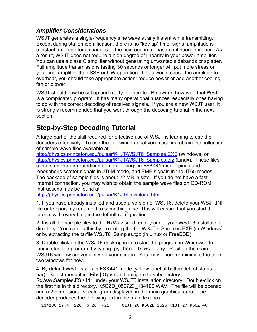#### <span id="page-5-0"></span>*Amplifier Considerations*

WSJT generates a single-frequency sine wave at any instant while transmitting. Except during station identification, there is no "key up" time; signal amplitude is constant, and one tone changes to the next one in a phase-continuous manner. As a result, WSJT does not require a high degree of linearity in your power amplifier. You can use a class C amplifier without generating unwanted sidebands or splatter. Full amplitude transmissions lasting 30 seconds or longer will put more stress on your final amplifier than SSB or CW operation. If this would cause the amplifier to overheat, you should take appropriate action: reduce power or add another cooling fan or blower.

WSJT should now be set up and ready to operate. Be aware, however, that WSJT is a complicated program. It has many operational nuances, especially ones having to do with the correct decoding of received signals. If you are a new WSJT user, it is strongly recommended that you work through the decoding tutorial in the next section.

## **Step-by-Step Decoding Tutorial**

A large part of the skill required for effective use of WSJT is learning to use the decoders effectively. To use the following tutorial you must first obtain the collection of sample wave files available at

[http://physics.princeton.edu/pulsar/K1JT/WSJT6\\_Samples.EXE](http://physics.princeton.edu/pulsar/K1JT/WSJT6_Samples.EXE) (Windows) or [http://physics.princeton.edu/pulsar/K1JT/WSJT6\\_Samples.tgz](http://physics.princeton.edu/pulsar/K1JT/WSJT6_Samples.tgz) (Linux). These files contain on-the-air recordings of meteor pings in FSK441 mode, pings and ionospheric scatter signals in JT6M mode, and EME signals in the JT65 modes. The package of sample files is about 22 MB in size. If you do not have a fast internet connection, you may wish to obtain the sample wave files on CD-ROM. Instructions may be found at

[http://physics.princeton.edu/pulsar/K1JT/Download.htm.](http://physics.princeton.edu/pulsar/K1JT/Download.htm)

1. If you have already installed and used a version of WSJT6, delete your WSJT.INI file or temporarily rename it to something else. This will ensure that you start the tutorial with everything in the default configuration.

2. Install the sample files to the RxWav subdirectory under your WSJT6 installation directory. You can do this by executing the file WSJT6\_Samples.EXE (in Windows) or by extracting the tarfile WSJT6\_Samples.tgz (in Linux or FreeBSD).

3. Double-click on the WSJT6 desktop icon to start the program in Windows. In Linux, start the program by typing  $p$ ython -0 wsjt.py. Position the main WSJT6 window conveniently on your screen. You may ignore or minimize the other two windows for now.

4. By default WSJT starts in FSK441 mode (yellow label at bottom left of status bar). Select menu item **File | Open** and navigate to subdirectory RxWav\Samples\FSK441 under your WSJT6 installation directory. Double-click on the first file in this directory, K5CZD\_050723\_134100.WAV. The file will be opened and a 2-dimensional spectrogram displayed in the main graphical area. The decoder produces the following text in the main text box:

134100 27.4 220 6 26 -21 O1JT 26 K5CZD 2626 K1JT 27 K5CZ #6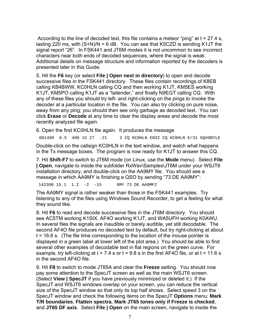According to the line of decoded text, this file contains a meteor "ping" at  $t = 27.4$  s, lasting 220 ms, with  $(S+N)/N = 6$  dB. You can see that K5CZD is sending K1JT the signal report "26". In FSK441 and JT6M modes it is not uncommon to see incorrect characters near both ends of decoded sequences, where the signal is weak. Additional details on message structure and information reported by the decoders is presented later in this Guide.

5. Hit the **F6** key (or select **File | Open next in directory**) to open and decode successive files in the FSK441 directory. These files contain recordings of K8EB calling KB4BWW, KC0HLN calling CQ and then working K1JT, KM5ES working K1JT, KM5PO calling K1JT as a "tailender," and finally N9EGT calling CQ. With any of these files you should try left- and right-clicking on the pings to invoke the decoder at a particular location in the file. You can also try clicking on pure noise, away from any ping; you should then see only garbage as decoded text. You can click **Erase** or **Decode** at any time to clear the display areas and decode the most recently analyzed file again.

6. Open the first KC0HLN file again. It produces the message

001400 6.5 400 15 27 -21 2 CQ KC0HLN EN32 CQ KC0HLN E/31 GQ#GBYLE

Double-click on the callsign KC0HLN in the text window, and watch what happens in the Tx message boxes. The program is now ready for K1JT to answer this CQ.

7. Hit **Shift-F7** to switch to JT6M mode (on Linux, use the **Mode** menu). Select **File | Open**, navigate to inside the subfolder RxWav\Samples\JT6M under your WSJT6 installation directory, and double-click on the AA9MY file. You should see a message in which AA9MY is finishing a QSO by sending "73 DE AA9MY":

142300 15.1 1.2 -2 -15 9MY 73 DE AA9MF2

The AA9MY signal is rather weaker than those in the FSK441 examples. Try listening to any of the files using Windows Sound Recorder, to get a feeling for what they sound like.

8. Hit **F6** to read and decode successive files in the JT6M directory. You should see AC5TM working K1SIX, AF4O working K1JT, and WA5UFH working K0AWU. In several files the signals are inaudible or barely audible, yet still decodable. The second AF4O file produces no decoded text by default, but try right-clicking at about t = 16.6 s. (The file time corresponding to the location of the mouse pointer is displayed in a green label at lower left of the plot area.) You should be able to find several other examples of decodable text in flat regions on the green curve. For example, try left-clicking at  $t = 7.4$  s or  $t = 9.8$  s in the first AF4O file, or at  $t = 11.6$  s in the second AF4O file.

9. Hit **F8** to switch to mode JT65A and clear the **Freeze** setting. You should now pay some attention to the SpecJT screen as well as the main WSJT6 screen. (Select **View | SpecJT** if you have previously minimized or deleted it.) If the SpecJT and WSJT6 windows overlap on your screen, you can reduce the vertical size of the SpecJT window so that only its top half shows. Select speed 3 on the SpecJT window and check the following items on the SpecJT **Options** menu: **Mark T/R boundaries**, **Flatten spectra**, **Mark JT65 tones only if Freeze is checked**, and **JT65 DF axis**. Select **File | Open** on the main screen, navigate to inside the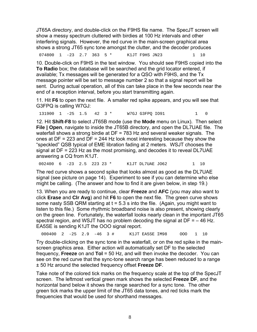JT65A directory, and double-click on the F9HS file name. The SpecJT screen will show a messy spectrum cluttered with birdies at 100 Hz intervals and other interfering signals. However, the red curve in the main-screen graphical area shows a strong JT65 sync tone amongst the clutter, and the decoder produces

074800 1 -23 2.7 363 5 \* K1JT F9HS JN23 1 10

10. Double-click on F9HS in the text window. You should see F9HS copied into the **To Radio** box; the database will be searched and the grid locator entered, if available; Tx messages will be generated for a QSO with F9HS, and the Tx message pointer will be set to message number 2 so that a signal report will be sent. During actual operation, all of this can take place in the few seconds near the end of a reception interval, before you start transmitting again.

11. Hit **F6** to open the next file. A smaller red spike appears, and you will see that G3FPQ is calling W7GJ:

131900 1 -25 1.5 42 3 \* W7GJ G3FPO IO91 1 0

12. Hit **Shift-F8** to select JT65B mode (use the **Mode** menu on Linux). Then select **File | Open**, navigate to inside the JT65B directory, and open the DL7UAE file. The waterfall shows a strong birdie at DF = 783 Hz and several weaker signals. The ones at DF = 223 and DF = 244 Hz look most interesting because they show the "speckled" QSB typical of EME libration fading at 2 meters. WSJT chooses the signal at DF = 223 Hz as the most promising, and decodes it to reveal DL7UAE answering a CQ from K1JT.

002400 6 -23 2.5 223 23 \* K1JT DL7UAE JO62 1 10

The red curve shows a second spike that looks almost as good as the DL7UAE signal (see picture on page [14](#page-13-0)). Experiment to see if you can determine who else might be calling. (The answer and how to find it are given below, in step 19.)

13. When you are ready to continue, clear **Freeze** and **AFC** (you may also want to click **Erase** and **Clr Avg**) and hit **F6** to open the next file. The green curve shows some nasty SSB QRM starting at  $t = 5.3$  s into the file. (Again, you might want to listen to this file.) Some rhythmic broadband noise is also present, showing clearly on the green line. Fortunately, the waterfall looks nearly clean in the important JT65 spectral region, and WSJT has no problem decoding the signal at  $DF = -46$  Hz. EA5SE is sending K1JT the OOO signal report.

000400 2 -25 2.9 -46 3 # K1JT EA5SE IM98 OOO 1 10

Try double-clicking on the sync tone in the waterfall, or on the red spike in the mainscreen graphics area. Either action will automatically set DF to the selected frequency, **Freeze** on and **Tol** = 50 Hz, and will then invoke the decoder. You can see on the red curve that the sync-tone search range has been reduced to a range ± 50 Hz around the selected frequency offset **Freeze DF**.

Take note of the colored tick marks on the frequency scale at the top of the SpecJT screen. The leftmost vertical green mark shows the selected **Freeze DF**, and the horizontal band below it shows the range searched for a sync tone. The other green tick marks the upper limit of the JT65 data tones, and red ticks mark the frequencies that would be used for shorthand messages.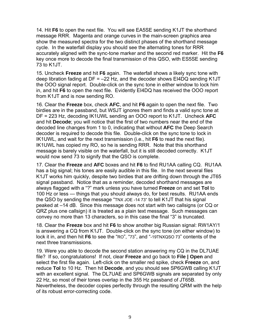14. Hit **F6** to open the next file. You will see EA5SE sending K1JT the shorthand message RRR. Magenta and orange curves in the main-screen graphics area show the measured spectra for the two distinct phases of the shorthand message cycle. In the waterfall display you should see the alternating tones for RRR accurately aligned with the sync-tone marker and the second red marker. Hit the **F6** key once more to decode the final transmission of this QSO, with ES5SE sending 73 to K1JT.

15. Uncheck **Freeze** and hit **F6** again. The waterfall shows a likely sync tone with deep libration fading at  $DF = -22$  Hz, and the decoder shows  $E14DQ$  sending K1JT the OOO signal report. Double-click on the sync tone in either window to lock him in, and hit **F6** to open the next file. Evidently EI4DQ has received the OOO report from K1JT and is now sending RO.

16. Clear the **Freeze** box, check **AFC**, and hit **F6** again to open the next file. Two birdies are in the passband, but WSJT ignores them and finds a valid sync tone at DF = 223 Hz, decoding IK1UWL sending an OOO report to K1JT. Uncheck **AFC** and hit **Decode**; you will notice that the first of two numbers near the end of the decoded line changes from 1 to 0, indicating that without **AFC** the Deep Search decoder is required to decode this file. Double-click on the sync tone to lock in IK1UWL, and wait for the next transmission (i.e., hit **F6** to read the next file). IK1UWL has copied my RO, so he is sending RRR. Note that this shorthand message is barely visible on the waterfall, but it is still decoded correctly. K1JT would now send 73 to signify that the QSO is complete.

17. Clear the **Freeze** and **AFC** boxes and hit **F6** to find RU1AA calling CQ. RU1AA has a big signal; his tones are easily audible in this file. In the next several files K1JT works him quickly, despite two birdies that are drifting down through the JT65 signal passband. Notice that as a reminder, decoded shorthand messages are always flagged with a "?" mark unless you have turned **Freeze** on and set **Tol** to 100 Hz or less — things that you should always do, for best results. RU1AA ends the QSO by sending the message "TNX JOE -14 73" to tell K1JT that his signal peaked at –14 dB. Since this message does not start with two callsigns (or CQ or QRZ plus one callsign) it is treated as a plain text message. Such messages can convey no more than 13 characters, so in this case the final "3" is truncated.

18. Clear the **Freeze** box and hit **F6** to show another big Russian signal: RW1AY/1 is answering a CQ from K1JT. Double-click on the sync tone (on either window) to lock it in, and then hit **F6** to see the "RO", "73", and "-19TNXQSO 73" contents of the next three transmissions.

19. Were you able to decode the second station answering my CQ in the DL7UAE file? If so, congratulations! If not, clear **Freeze** and go back to **File | Open** and select the first file again. Left-click on the smaller red spike, check **Freeze** on, and reduce **Tol** to 10 Hz. Then hit **Decode**, and you should see SP6GWB calling K1JT with an excellent signal. The DL7UAE and SP6GWB signals are separated by only 22 Hz, so most of their tones overlap in the 355 Hz passband of JT65B. Nevertheless, the decoder copies perfectly through the resulting QRM with the help of its robust error-correcting code.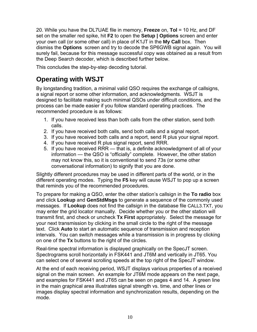<span id="page-9-0"></span>20. While you have the DL7UAE file in memory, **Freeze** on, **Tol** = 10 Hz, and DF set on the smaller red spike, hit **F2** to open the **Setup | Options** screen and enter your own call (or some other call) in place of K1JT in the **My Call** box. Then dismiss the **Options** screen and try to decode the SP6GWB signal again. You will surely fail, because for this message successful copy was obtained as a result from the Deep Search decoder, which is described further below.

This concludes the step-by-step decoding tutorial.

## **Operating with WSJT**

By longstanding tradition, a minimal valid QSO requires the exchange of callsigns, a signal report or some other information, and acknowledgments. WSJT is designed to facilitate making such minimal QSOs under difficult conditions, and the process can be made easier if you follow standard operating practices. The recommended procedure is as follows:

- 1. If you have received less than both calls from the other station, send both calls.
- 2. If you have received both calls, send both calls and a signal report.
- 3. If you have received both calls and a report, send R plus your signal report.
- 4. If you have received R plus signal report, send RRR.
- 5. If you have received RRR that is, a definite acknowledgment of all of your information — the QSO is "officially" complete. However, the other station may not know this, so it is conventional to send 73s (or some other conversational information) to signify that you are done.

Slightly different procedures may be used in different parts of the world, or in the different operating modes. Typing the **F5** key will cause WSJT to pop up a screen that reminds you of the recommended procedures.

To prepare for making a QSO, enter the other station's callsign in the **To radio** box and click **Lookup** and **GenStdMsgs** to generate a sequence of the commonly used messages. If **Lookup** does not find the callsign in the database file CALL3.TXT, you may enter the grid locator manually. Decide whether you or the other station will transmit first, and check or uncheck **Tx First** appropriately. Select the message for your next transmission by clicking in the small circle to the right of the message text. Click **Auto** to start an automatic sequence of transmission and reception intervals. You can switch messages while a transmission is in progress by clicking on one of the **Tx** buttons to the right of the circles.

Real-time spectral information is displayed graphically on the SpecJT screen. Spectrograms scroll horizontally in FSK441 and JT6M and vertically in JT65. You can select one of several scrolling speeds at the top right of the SpecJT window.

At the end of each receiving period, WSJT displays various properties of a received signal on the main screen. An example for JT6M mode appears on the next page, and examples for FSK441 and JT65 can be seen on pages [4](#page-3-0) and [14](#page-13-0). A green line in the main graphical area illustrates signal strength vs. time, and other lines or images display spectral information and synchronization results, depending on the mode.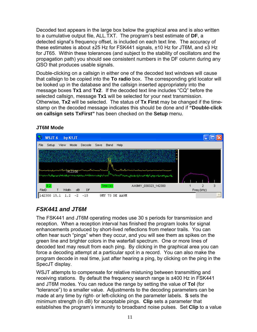<span id="page-10-0"></span>Decoded text appears in the large box below the graphical area and is also written to a cumulative output file, ALL.TXT. The program's best estimate of **DF**, a detected signal's frequency offset, is included on each text line. The accuracy of these estimates is about ±25 Hz for FSK441 signals, ±10 Hz for JT6M, and ±3 Hz for JT65. Within these tolerances (and subject to the stability of oscillators and the propagation path) you should see consistent numbers in the DF column during any QSO that produces usable signals.

Double-clicking on a callsign in either one of the decoded text windows will cause that callsign to be copied into the **To radio** box. The corresponding grid locator will be looked up in the database and the callsign inserted appropriately into the message boxes **Tx1** and **Tx2**. If the decoded text line includes "CQ" before the selected callsign, message **Tx1** will be selected for your next transmission. Otherwise, **Tx2** will be selected. The status of **Tx First** may be changed if the timestamp on the decoded message indicates this should be done and if **"Double-click on callsign sets TxFirst"** has been checked on the **Setup** menu.

#### **JT6M Mode**

<span id="page-10-1"></span>

## *FSK441 and JT6M*

The FSK441 and JT6M operating modes use 30 s periods for transmission and reception. When a reception interval has finished the program looks for signal enhancements produced by short-lived reflections from meteor trails. You can often hear such "pings" when they occur, and you will see them as spikes on the green line and brighter colors in the waterfall spectrum. One or more lines of decoded text may result from each ping. By clicking in the graphical area you can force a decoding attempt at a particular spot in a record. You can also make the program decode in real time, just after hearing a ping, by clicking on the ping in the SpecJT display.

WSJT attempts to compensate for relative mistuning between transmitting and receiving stations. By default the frequency search range is ±400 Hz in FSK441 and JT6M modes. You can reduce the range by setting the value of **Tol** (for "tolerance") to a smaller value. Adjustments to the decoding parameters can be made at any time by right- or left-clicking on the parameter labels. **S** sets the minimum strength (in dB) for acceptable pings. **Clip** sets a parameter that establishes the program's immunity to broadband noise pulses. Set **Clip** to a value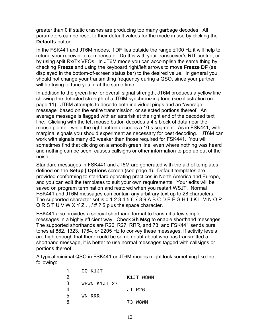greater than 0 if static crashes are producing too many garbage decodes. All parameters can be reset to their default values for the mode in use by clicking the **Defaults** button.

In the FSK441 and JT6M modes, if DF lies outside the range ±100 Hz it will help to retune your receiver to compensate. Do this with your transceiver's RIT control, or by using split Rx/Tx VFOs. In JT6M mode you can accomplish the same thing by checking **Freeze** and using the keyboard right/left arrows to move **Freeze DF** (as displayed in the bottom-of-screen status bar) to the desired value. In general you should not change your transmitting frequency during a QSO, since your partner will be trying to tune you in at the same time.

In addition to the green line for overall signal strength, JT6M produces a yellow line showing the detected strength of a JT6M synchronizing tone (see illustration on page [11\)](#page-10-1). JT6M attempts to decode both individual pings and an "average message" based on the entire transmission, or selected portions thereof. An average message is flagged with an asterisk at the right end of the decoded text line. Clicking with the left mouse button decodes a 4 s block of data near the mouse pointer, while the right button decodes a 10 s segment. As in FSK441, with marginal signals you should experiment as necessary for best decoding. JT6M can work with signals many dB weaker than those required for FSK441. You will sometimes find that clicking on a smooth green line, even where nothing was heard and nothing can be seen, causes callsigns or other information to pop up out of the noise.

Standard messages in FSK441 and JT6M are generated with the aid of templates defined on the **Setup | Options** screen (see page [4\)](#page-3-0). Default templates are provided conforming to standard operating practices in North America and Europe, and you can edit the templates to suit your own requirements. Your edits will be saved on program termination and restored when you restart WSJT. Normal FSK441 and JT6M messages can contain any arbitrary text up to 28 characters. The supported character set is 0 1 2 3 4 5 6 7 8 9 A B C D E F G H I J K L M N O P  $Q R S T U V W X Y Z$ .,  $4$  ?  $\$  plus the space character.

FSK441 also provides a special shorthand format to transmit a few simple messages in a highly efficient way. Check **Sh Msg** to enable shorthand messages. The supported shorthands are R26, R27, RRR, and 73, and FSK441 sends pure tones at 882, 1323, 1764, or 2205 Hz to convey these messages. If activity levels are high enough that there could be some doubt about who has transmitted a shorthand message, it is better to use normal messages tagged with callsigns or portions thereof.

A typical minimal QSO in FSK441 or JT6M modes might look something like the following:

| 1.            | CQ K1JT      |           |
|---------------|--------------|-----------|
| <sup>2.</sup> |              | K1JT W8WN |
| 3.            | W8WN K1JT 27 |           |
| 4.            |              | JT R26    |
| 5.            | WN RRR       |           |
| 6.            |              | 73 W8WN   |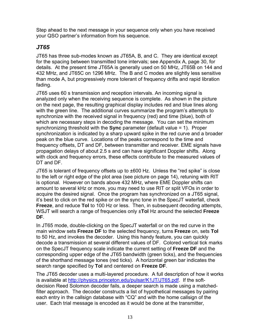<span id="page-12-0"></span>Step ahead to the next message in your sequence only when you have received your QSO partner's information from his sequence.

#### *JT65*

JT65 has three sub-modes known as JT65A, B, and C. They are identical except for the spacing between transmitted tone intervals; see Appendix A, page [30,](#page-29-0) for details. At the present time JT65A is generally used on 50 MHz, JT65B on 144 and 432 MHz, and JT65C on 1296 MHz. The B and C modes are slightly less sensitive than mode A, but progressively more tolerant of frequency drifts and rapid libration fading.

JT65 uses 60 s transmission and reception intervals. An incoming signal is analyzed only when the receiving sequence is complete. As shown in the picture on the next page, the resulting graphical display includes red and blue lines along with the green line. The additional curves summarize the program's attempts to synchronize with the received signal in frequency (red) and time (blue), both of which are necessary steps in decoding the message. You can set the minimum synchronizing threshold with the **Sync** parameter (default value = 1). Proper synchronization is indicated by a sharp upward spike in the red curve and a broader peak on the blue curve. Locations of the peaks correspond to the time and frequency offsets, DT and DF, between transmitter and receiver. EME signals have propagation delays of about 2.5 s and can have significant Doppler shifts. Along with clock and frequency errors, these effects contribute to the measured values of DT and DF.

JT65 is tolerant of frequency offsets up to ±600 Hz. Unless the "red spike" is close to the left or right edge of the plot area (see picture on page [14](#page-13-0)), retuning with RIT is optional. However on bands above 432 MHz, where EME Doppler shifts can amount to several kHz or more, you may need to use RIT or split VFOs in order to acquire the desired signal. Once the program has synchronized on a JT65 signal, it's best to click on the red spike or on the sync tone in the SpecJT waterfall, check **Freeze**, and reduce **Tol** to 100 Hz or less. Then, in subsequent decoding attempts, WSJT will search a range of frequencies only ±**Tol** Hz around the selected **Freeze DF**.

In JT65 mode, double-clicking on the SpecJT waterfall or on the red curve in the main window sets **Freeze DF** to the selected frequency, turns **Freeze** on, sets **Tol** to 50 Hz, and invokes the decoder. Using this handy feature, you can quickly decode a transmission at several different values of DF. Colored vertical tick marks on the SpecJT frequency scale indicate the current setting of **Freeze DF** and the corresponding upper edge of the JT65 bandwidth (green ticks), and the frequencies of the shorthand message tones (red ticks). A horizontal green bar indicates the search range specified by **Tol** and centered on **Freeze DF**.

The JT65 decoder uses a multi-layered procedure. A full description of how it works is available at [http://physics.princeton.edu/pulsar/K1JT/JT65.pdf.](http://physics.princeton.edu/pulsar/K1JT/JT65.pdf) If the softdecision Reed Solomon decoder fails, a deeper search is made using a matchedfilter approach. The decoder constructs a list of hypothetical messages by pairing each entry in the callsign database with "CQ" and with the home callsign of the user. Each trial message is encoded as it would be done at the transmitter,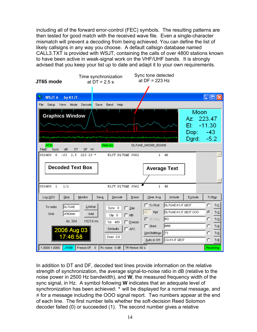including all of the forward error-control (FEC) symbols. The resulting patterns are then tested for good match with the received wave file. Even a single-character mismatch will prevent a decoding from being achieved. You can define the list of likely callsigns in any way you choose. A default callsign database named CALL3.TXT is provided with WSJT, containing the calls of over 4800 stations known to have been active in weak-signal work on the VHF/UHF bands. It is strongly advised that you keep your list up to date and adapt it to your own requirements.

<span id="page-13-0"></span>

In addition to DT and DF, decoded text lines provide information on the relative strength of synchronization, the average signal-to-noise ratio in dB (relative to the noise power in 2500 Hz bandwidth), and **W**, the measured frequency width of the sync signal, in Hz. A symbol following **W** indicates that an adequate level of synchronization has been achieved: \* will be displayed for a normal message, and # for a message including the OOO signal report. Two numbers appear at the end of each line. The first number tells whether the soft-decision Reed Solomon decoder failed (0) or succeeded (1). The second number gives a relative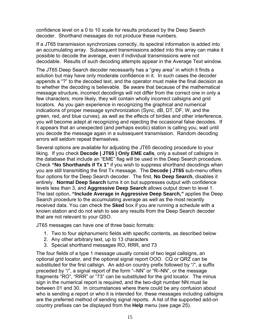confidence level on a 0 to 10 scale for results produced by the Deep Search decoder. Shorthand messages do not produce these numbers.

If a JT65 transmission synchronizes correctly, its spectral information is added into an accumulating array. Subsequent transmissions added into this array can make it possible to decode the average, even if individual transmissions were not decodable. Results of such decoding attempts appear in the Average Text window.

The JT65 Deep Search decoder necessarily has a "grey area" in which it finds a solution but may have only moderate confidence in it. In such cases the decoder appends a "?" to the decoded text, and the operator must make the final decision as to whether the decoding is believable. Be aware that because of the mathematical message structure, incorrect decodings will not differ from the correct one in only a few characters; more likely, they will contain wholly incorrect callsigns and grid locators. As you gain experience in recognizing the graphical and numerical indications of proper message synchronization (Sync, dB, DT, DF, W, and the green, red, and blue curves), as well as the effects of birdies and other interference, you will become adept at recognizing and rejecting the occasional false decodes. If it appears that an unexpected (and perhaps exotic) station is calling you, wait until you decode the message again in a subsequent transmission. Random decoding errors will seldom repeat themselves.

Several options are available for adjusting the JT65 decoding procedure to your liking. If you check **Decode | JT65 | Only EME calls**, only a subset of callsigns in the database that include an "EME" flag will be used in the Deep Search procedure. Check **"No Shorthands if Tx 1"** if you wish to suppress shorthand decodings when you are still transmitting the first Tx message. The **Decode | JT65** sub-menu offers four options for the Deep Search decoder. The first, **No Deep Search**, disables it entirely. **Normal Deep Search** turns it on but suppresses output with confidence levels less than 3, and **Aggressive Deep Search** allows output down to level 1. The last option, **"Include Average in Aggressive Deep Search,"** applies the Deep Search procedure to the accumulating average as well as the most recently received data. You can check the **Sked** box if you are running a schedule with a known station and do not wish to see any results from the Deep Search decoder that are not relevant to your QSO.

JT65 messages can have one of three basic formats:

- 1. Two to four alphanumeric fields with specific contents, as described below
- 2. Any other arbitrary text, up to 13 characters
- 3. Special shorthand messages RO, RRR, and 73

The four fields of a type 1 message usually consist of two legal callsigns, an optional grid locator, and the optional signal report OOO. CQ or QRZ can be substituted for the first callsign. An add-on country prefix followed by "/", a suffix preceded by "/", a signal report of the form "–NN" or "R–NN", or the message fragments "RO", "RRR" or "73" can be substituted for the grid locator. The minus sign in the numerical report is required, and the two-digit number NN must lie between 01 and 30. In circumstances where there could be any confusion about who is sending a report or who it is intended for, these messages including callsigns are the preferred method of sending signal reports. A list of the supported add-on country prefixes can be displayed from the **Help** menu (see page [25\)](#page-24-0).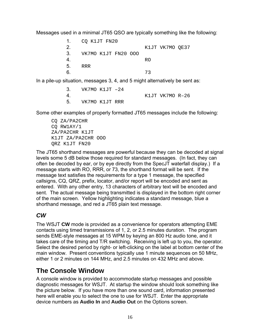<span id="page-15-0"></span>Messages used in a minimal JT65 QSO are typically something like the following:

| 1.             | CO K1JT FN20        |                 |
|----------------|---------------------|-----------------|
| 2.             |                     | K1JT VK7MO OE37 |
| 3.             | VK7MO K1JT FN20 000 |                 |
| $\overline{4}$ |                     | RO              |
| 5.             | RRR.                |                 |
| 6              |                     | 73              |

In a pile-up situation, messages 3, 4, and 5 might alternatively be sent as:

|   | VK7MO K1JT -24    |  |  |                 |  |
|---|-------------------|--|--|-----------------|--|
| 4 |                   |  |  | K1JT VK7MO R-26 |  |
|   | 5. VK7MO K1JT RRR |  |  |                 |  |

Some other examples of properly formatted JT65 messages include the following:

CQ ZA/PA2CHR CQ RW1AY/1 ZA/PA2CHR K1JT K1JT ZA/PA2CHR OOO QRZ K1JT FN20

The JT65 shorthand messages are powerful because they can be decoded at signal levels some 5 dB below those required for standard messages. (In fact, they can often be decoded by ear, or by eye directly from the SpecJT waterfall display.) If a message starts with RO, RRR, or 73, the shorthand format will be sent. If the message text satisfies the requirements for a type 1 message, the specified callsigns, CQ, QRZ, prefix, locator, and/or report will be encoded and sent as entered. With any other entry, 13 characters of arbitrary text will be encoded and sent. The actual message being transmitted is displayed in the bottom right corner of the main screen. Yellow highlighting indicates a standard message, blue a shorthand message, and red a JT65 plain text message.

## *CW*

The WSJT **CW** mode is provided as a convenience for operators attempting EME contacts using timed transmissions of 1, 2, or 2.5 minutes duration. The program sends EME-style messages at 15 WPM by keying an 800 Hz audio tone, and it takes care of the timing and T/R switching. Receiving is left up to you, the operator. Select the desired period by right- or left-clicking on the label at bottom center of the main window. Present conventions typically use 1 minute sequences on 50 MHz, either 1 or 2 minutes on 144 MHz, and 2.5 minutes on 432 MHz and above.

## **The Console Window**

A console window is provided to accommodate startup messages and possible diagnostic messages for WSJT. At startup the window should look something like the picture below. If you have more than one sound card, information presented here will enable you to select the one to use for WSJT. Enter the appropriate device numbers as **Audio In** and **Audio Out** on the Options screen.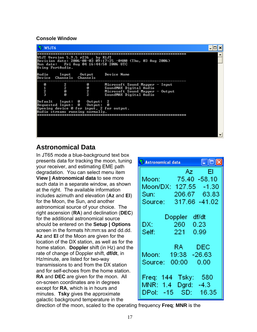#### <span id="page-16-1"></span><span id="page-16-0"></span>**Console Window**

| WSJT6                    |                                                                                                                                                                   |                                                                                                                                          |                                                                                                                       |  |  |  |  |  |  |
|--------------------------|-------------------------------------------------------------------------------------------------------------------------------------------------------------------|------------------------------------------------------------------------------------------------------------------------------------------|-----------------------------------------------------------------------------------------------------------------------|--|--|--|--|--|--|
|                          | WSJT Version 5.9.5 r236 , by K1JT<br> Revision date: 2006-08-03 09:17:25 -0400 (Thu, 03 Aug 2006)<br>Run date:   Fri Aug 04 16:44:58 2006 UTC<br>Using PortAudio. |                                                                                                                                          |                                                                                                                       |  |  |  |  |  |  |
| Device Channels Channels |                                                                                                                                                                   | Audio Input Output Device-Name                                                                                                           |                                                                                                                       |  |  |  |  |  |  |
| ø<br>$\frac{1}{2}$       | $\overline{2}$<br>Ø<br>Й                                                                                                                                          | N<br><b>0</b><br>2<br>2                                                                                                                  | Microsoft Sound Mapper - Input<br>SoundMAX Digital Audio<br>Microsoft Sound Mapper - Output<br>SoundMAX Digital Audio |  |  |  |  |  |  |
|                          |                                                                                                                                                                   | Default Input: 0 Output: 2<br>Requested Input: 0 Output:<br>Opening device 0 for input, 2 for output.<br>Audio streams running normally. | Ø                                                                                                                     |  |  |  |  |  |  |

## **Astronomical Data**

In JT65 mode a blue-background text box presents data for tracking the moon, tuning your receiver, and estimating EME path degradation. You can select menu item **View | Astronomical data** to see more such data in a separate window, as shown at the right. The available information includes azimuth and elevation (**Az** and **El**) for the Moon, the Sun, and another astronomical source of your choice. The right ascension (**RA**) and declination (**DEC**) for the additional astronomical source should be entered on the **Setup | Options** screen in the formats hh:mm:ss and dd.dd. **Az** and **El** of the Moon are given for the location of the DX station, as well as for the home station. **Doppler** shift (in Hz) and the rate of change of Doppler shift, **df/dt**, in Hz/minute, are listed for two-way transmissions to and from the DX station and for self-echoes from the home station. **RA** and **DEC** are given for the moon. All on-screen coordinates are in degrees except for **RA**, which is in hours and minutes. **Tsky** gives the approximate galactic background temperature in the

| $\llbracket \blacksquare \rrbracket \blacksquare \rrbracket \mathsf{x}$<br>S Astronomical data                   |
|------------------------------------------------------------------------------------------------------------------|
| EI.<br>Az i<br>Moon: 75.40 -58.10<br>Moon/DX: 127.55 -1.30<br>206.67 63.83<br>Sun: a<br>317.66 -41.02<br>Source: |
| df/dt<br>Doppler<br>DX: I<br>- 260 -<br>0.23<br>$\overline{221}$<br>0.99<br>Self:                                |
| RA -<br><b>DEC</b><br>Moon: 19:38 -26.63<br>Source: 00:00  0.00                                                  |
| Tsky: 580<br>Freq: 144<br>MNR: 1.4<br>Dgrd: -4.3<br>DPol: -15<br>SD: 16.35                                       |

direction of the moon, scaled to the operating frequency **Freq**; **MNR** is the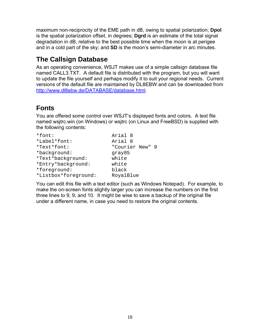<span id="page-17-0"></span>maximum non-reciprocity of the EME path in dB, owing to spatial polarization; **Dpol**  is the spatial polarization offset, in degrees; **Dgrd** is an estimate of the total signal degradation in dB, relative to the best possible time when the moon is at perigee and in a cold part of the sky; and **SD** is the moon's semi-diameter in arc minutes.

## **The Callsign Database**

As an operating convenience, WSJT makes use of a simple callsign database file named CALL3.TXT. A default file is distributed with the program, but you will want to update the file yourself and perhaps modify it to suit your regional needs. Current versions of the default file are maintained by DL8EBW and can be downloaded from [http://www.dl8ebw.de/DATABASE/database.html.](http://www.dl8ebw.de/DATABASE/database.html)

## **Fonts**

You are offered some control over WSJT's displayed fonts and colors. A text file named wsjtrc.win (on Windows) or wsjtrc (on Linux and FreeBSD) is supplied with the following contents:

| *font:               | Arial 8         |
|----------------------|-----------------|
| *Label*font:         | Arial 8         |
| *Text*font:          | "Courier New" 9 |
| *background:         | gray85          |
| *Text*background:    | white           |
| *Entry*background:   | white           |
| *foreground:         | black           |
| *Listbox*foreground: | RoyalBlue       |

You can edit this file with a text editor (such as Windows Notepad). For example, to make the on-screen fonts slightly larger you can increase the numbers on the first three lines to 9, 9, and 10. It might be wise to save a backup of the original file under a different name, in case you need to restore the original contents.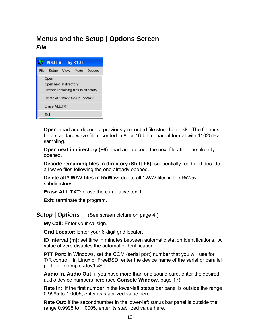## <span id="page-18-0"></span>**Menus and the Setup | Options Screen**  *File*



**Open:** read and decode a previously recorded file stored on disk. The file must be a standard wave file recorded in 8- or 16-bit monaural format with 11025 Hz sampling.

**Open next in directory (F6)**: read and decode the next file after one already opened.

**Decode remaining files in directory (Shift-F6):** sequentially read and decode all wave files following the one already opened.

**Delete all \*.WAV files in RxWav:** delete all \*.WAV files in the RxWav subdirectory.

**Erase ALL.TXT:** erase the cumulative text file.

**Exit:** terminate the program.

*Setup | Options* (See screen picture on page [4](#page-3-0).)

**My Call:** Enter your callsign.

**Grid Locator:** Enter your 6-digit grid locator.

**ID Interval (m):** set time in minutes between automatic station identifications. A value of zero disables the automatic identification.

**PTT Port:** in Windows, set the COM (serial port) number that you will use for T/R control. In Linux or FreeBSD, enter the device name of the serial or parallel port, for example /dev/ttyS0.

**Audio In, Audio Out:** if you have more than one sound card, enter the desired audio device numbers here (see **Console Window**, page [17\)](#page-16-1).

**Rate In:** if the first number in the lower-left status bar panel is outside the range 0.9995 to 1.0005, enter its stabilized value here.

**Rate Out:** if the secondnumber in the lower-left status bar panel is outside the range 0.9995 to 1.0005, enter its stabilized value here.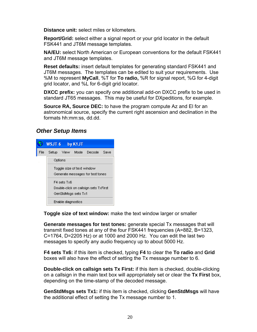**Distance unit:** select miles or kilometers.

**Report/Grid:** select either a signal report or your grid locator in the default FSK441 and JT6M message templates.

NA/EU: select North American or European conventions for the default FSK441 and JT6M message templates.

JT6M messages. The templates can be edited to suit your requirements. Use **Reset defaults:** insert default templates for generating standard FSK441 and %M to represent **MyCall**, %T for **To radio,** %R for signal report, %G for 4-digit grid locator, and %L for 6-digit grid locator.

standard JT65 messages. This may be useful for DXpeditions, for example. **DXCC prefix:** you can specify one additional add-on DXCC prefix to be used in

**Source RA, Source DEC:** to have the program compute Az and El for an astronomical source, specify the current right ascension and declination in the formats hh:mm:ss, dd.dd.

#### *Ot her Setup Items*



**Toggle size of text window:** make the text window larger or smaller

Generate messages for test tones: generate special Tx messages that will transmit fixed tones at any of the four FSK441 frequencies (A=882, B=1323, C=1764, D=2205 Hz) or at 1000 and 2000 Hz. You can edit the last two messages to specify any audio frequency up to about 5000 Hz.

**F4 sets Tx6:** if this item is checked, typing F4 to clear the To radio and Grid boxes will also have the effect of setting the Tx message number to 6.

on a callsign in the main text box will appropriately set or clear the Tx First box, **Double-click on callsign sets Tx First:** if this item is checked, double-clicking depending on the time-stamp of the decoded message.

the additional effect of setting the Tx message number to 1. **GenStdMsgs sets Tx1:** if this item is checked, clicking **GenStdMsgs** will have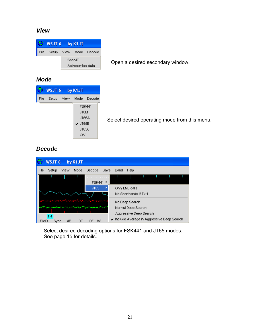#### *View*

| WSJT 6 by K1JT              |  |  |                             |  |  |  |
|-----------------------------|--|--|-----------------------------|--|--|--|
|                             |  |  | File Setup View Mode Decode |  |  |  |
| SpecJT<br>Astronomical data |  |  |                             |  |  |  |

Open a desired secondary window.

#### *Mode*



Select desired operating mode from this menu.

#### *Decode*

| <b>WSJT6</b><br>by K1JT                                                                                                |                                                |
|------------------------------------------------------------------------------------------------------------------------|------------------------------------------------|
| File<br>View<br>Mode<br>Decode<br>Setup<br>Save                                                                        | Band<br>Help                                   |
| FSK441 ▶                                                                                                               |                                                |
| <b>JT65</b>                                                                                                            | Only EME calls                                 |
|                                                                                                                        | No Shorthands if Tx 1                          |
|                                                                                                                        | No Deep Search                                 |
| مستواه وسياتهم المراد والمسالم المواسع والمستحيص والمستحيل والمستعمل والمستعمل والمستعمل والمتعارض والمتعاصر والمتحاصر | Normal Deep Search                             |
|                                                                                                                        | Aggressive Deep Search                         |
| 1.4<br>dB<br>FileID<br>DF<br>w<br>Svnc<br>DT                                                                           | Include Average in Aggressive Deep Search<br>✓ |

Select desired decoding options for FSK441 and JT65 modes. See page 15 for details.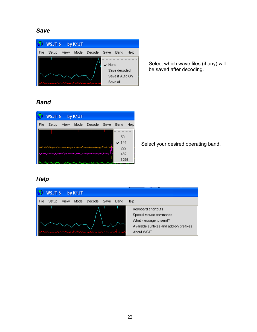#### *Save*



Select which wave files (if any) will be saved after decoding.

#### *Band*



Select your desired operating band.

#### *Help*

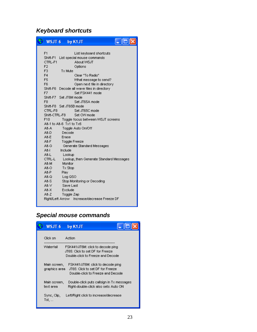## *Keyboard shortcuts*

| WST6            | by K1JT                                      |
|-----------------|----------------------------------------------|
| F <sub>1</sub>  | List keyboard shortcuts                      |
|                 | Shift-F1 List special mouse commands         |
| CTRL-F1         | About WSJT                                   |
| F <sub>2</sub>  | Options                                      |
| F <sub>3</sub>  | $Tx$ Mute                                    |
| F <sub>4</sub>  | Clear "To Radio"                             |
| F <sub>5</sub>  | What message to send?                        |
| F6              | Open next file in directory                  |
|                 | Shift-F6 Decode all wave files in directory  |
| F7              | Set FSK441 mode                              |
| Shift-F7        | Set JT6M mode                                |
| F8              | Set JT65A mode                               |
|                 | Shift-F8 Set JT65B mode                      |
| CTRL-F8         | Set JT65C mode                               |
| Shift-CTRL-F8   | Set CW mode                                  |
| F <sub>10</sub> | Toggle focus between WSJT screens            |
|                 | Alt-1 to Alt-6 Tx1 to Tx6                    |
| Alt-A           | Togale Auto On/Off                           |
| Alt-D           | Decode                                       |
| $At-E$          | Erase                                        |
| Alt-F           | <b>Toggle Freeze</b>                         |
| Alt-G           | Generate Standard Messages                   |
| Alt-L           | Include                                      |
| Alt-L           | Lookup                                       |
| CTRL-L          | Lookup, then Generate Standard Messages      |
| Alt-M           | Monitor                                      |
| $At-O$          | $Tx$ Stop                                    |
| $At-P$          | Play                                         |
| $At-Q$          | Log QSO                                      |
| $At-S$          | Stop Monitoring or Decoding                  |
| Alt-V           | Save Last                                    |
| $At-X$          | Exclude                                      |
| $At-Z$          | Toggle Zap                                   |
|                 | Right/Left Arrow Increase/decrease Freeze DF |

## *Special mouse commands*

| WSJT <sub>6</sub>             | by K1JT                                                                                                     |
|-------------------------------|-------------------------------------------------------------------------------------------------------------|
| Click on                      | Action                                                                                                      |
| Waterfall                     | FSK441/JT6M: click to decode ping<br>JT65: Click to set DF for Freeze.<br>Double-click to Freeze and Decode |
| Main screen,<br>graphics area | FSK441/JT6M: click to decode ping<br>JT65: Click to set DF for Freeze<br>Double-click to Freeze and Decode  |
| Main screen,<br>text area     | Double-click puts callsign in Tx messages.<br>Right-double-click also sets Auto ON                          |
| Sync, Clip,<br>Tol.           | Left/Right click to increase/decrease                                                                       |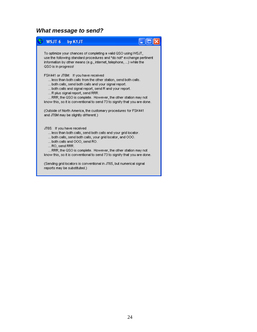#### *What message to send?*

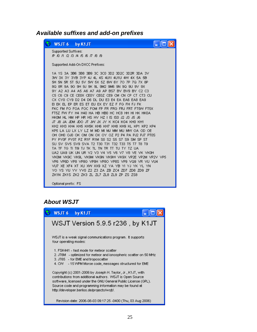#### <span id="page-24-0"></span>*Available suffixes and add-on prefixes*



Optional prefix: FS

#### *About WSJT*

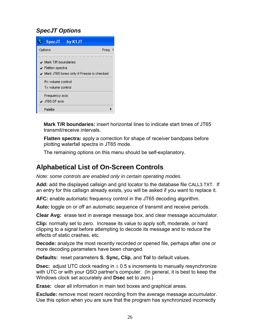## <span id="page-25-0"></span>*SpecJT Options*



**Mark T/R boundaries:** insert horizontal lines to indicate start times of JT65 transmit/receive intervals.

**Flatten spectra:** apply a correction for shape of receiver bandpass before plotting waterfall spectra in JT65 mode.

The remaining options on this menu should be self-explanatory.

## **Alphabetical List of On-Screen Controls**

*Note: some controls are enabled only in certain operating modes*.

**Add:** add the displayed callsign and grid locator to the database file CALL3.TXT. If an entry for this callsign already exists, you will be asked if you want to replace it.

**AFC:** enable automatic frequency control in the JT65 decoding algorithm.

**Auto:** toggle on or off an automatic sequence of transmit and receive periods.

**Clear Avg:** erase text in average message box, and clear message accumulator.

**Clip:** normally set to zero. Increase its value to apply soft, moderate, or hard clipping to a signal before attempting to decode its message and to reduce the effects of static crashes, etc.

**Decode:** analyze the most recently recorded or opened file, perhaps after one or more decoding parameters have been changed.

**Defaults:** reset parameters **S**, **Sync, Clip**, and **Tol** to default values.

**Dsec:** adjust UTC clock reading in  $\pm$  0.5 s increments to manually resynchronize with UTC or with your QSO partner's computer. (In general, it is best to keep the Windows clock set accurately and **Dsec** set to zero.)

**Erase:** clear all information in main text boxes and graphical areas.

**Exclude:** remove most recent recording from the average message accumulator. Use this option when you are sure that the program has synchronized incorrectly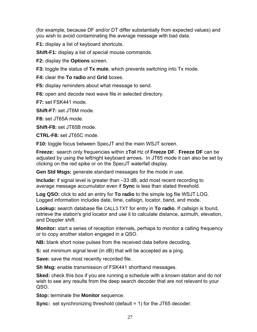(for example, because DF and/or DT differ substantially from expected values) and you wish to avoid contaminating the average message with bad data.

**F1:** display a list of keyboard shortcuts.

**Shift-F1:** display a list of special mouse commands.

**F2:** display the **Options** screen.

**F3:** toggle the status of **Tx mute**, which prevents switching into Tx mode.

**F4:** clear the **To radio** and **Grid** boxes.

**F5:** display reminders about what message to send.

**F6:** open and decode next wave file in selected directory.

**F7:** set FSK441 mode.

**Shift-F7:** set JT6M mode.

**F8:** set JT65A mode.

**Shift-F8:** set JT65B mode.

**CTRL-F8:** set JT65C mode.

**F10:** toggle focus between SpecJT and the main WSJT screen.

**Freeze:** search only frequencies within ±**Tol** Hz of **Freeze DF**. **Freeze DF** can be adjusted by using the left/right keyboard arrows. In JT65 mode it can also be set by clicking on the red spike or on the SpecJT waterfall display.

**Gen Std Msgs:** generate standard messages for the mode in use.

**Include:** if signal level is greater than –33 dB, add most recent recording to average message accumulator even if **Sync** is less than stated threshold.

**Log QSO:** click to add an entry for **To radio** to the simple log file WSJT.LOG. Logged information includes date, time, callsign, locator, band, and mode.

**Lookup:** search database file CALL3.TXT for entry in **To radio**. If callsign is found, retrieve the station's grid locator and use it to calculate distance, azimuth, elevation, and Doppler shift.

**Monitor:** start a series of reception intervals, perhaps to monitor a calling frequency or to copy another station engaged in a QSO.

**NB:** blank short noise pulses from the received data before decoding.

**S:** set minimum signal level (in dB) that will be accepted as a ping.

**Save:** save the most recently recorded file.

**Sh Msg:** enable transmission of FSK441 shorthand messages.

**Sked:** check this box if you are running a schedule with a known station and do not wish to see any results from the deep search decoder that are not relevant to your QSO.

**Stop:** terminate the **Monitor** sequence.

**Sync:** set synchronizing threshold (default = 1) for the JT65 decoder.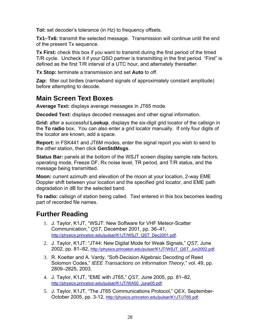<span id="page-27-0"></span>**Tol:** set decoder's tolerance (in Hz) to frequency offsets.

**Tx1–Tx6:** transmit the selected message. Transmission will continue until the end of the present Tx sequence.

**Tx First:** check this box if you want to transmit during the first period of the timed T/R cycle. Uncheck it if your QSO partner is transmitting in the first period. "First" is defined as the first T/R interval of a UTC hour, and alternately thereafter.

**Tx Stop:** terminate a transmission and set **Auto** to off.

**Zap:** filter out birdies (narrowband signals of approximately constant amplitude) before attempting to decode.

## **Main Screen Text Boxes**

**Average Text:** displays average messages in JT65 mode.

**Decoded Text:** displays decoded messages and other signal information.

**Grid:** after a successful **Lookup**, displays the six-digit grid locator of the callsign in the **To radio** box. You can also enter a grid locator manually. If only four digits of the locator are known, add a space.

**Report:** in FSK441 and JT6M modes, enter the signal report you wish to send to the other station, then click **GenStdMsgs**.

**Status Bar:** panels at the bottom of the WSJT screen display sample rate factors, operating mode, Freeze DF, Rx noise level, TR period, and T/R status, and the message being transmitted.

**Moon:** current azimuth and elevation of the moon at your location, 2-way EME Doppler shift between your location and the specified grid locator, and EME path degradation in dB for the selected band.

**To radio:** callsign of station being called. Text entered in this box becomes leading part of recorded file names.

## **Further Reading**

- 1. J. Taylor, K1JT, "WSJT: New Software for VHF Meteor-Scatter Communication," *QST,* December 2001, pp. 36–41, [http://physics.princeton.edu/pulsar/K1JT/WSJT\\_QST\\_Dec2001.pdf.](http://physics.princeton.edu/pulsar/K1JT/WSJT_QST_Dec2001.pdf)
- 2. J. Taylor, K1JT: "JT44: New Digital Mode for Weak Signals," *QST,* June 2002, pp. 81–82, [http://physics.princeton.edu/pulsar/K1JT/WSJT\\_QST\\_Jun2002.pdf.](http://physics.princeton.edu/pulsar/K1JT/WSJT_QST_Jun2002.pdf)
- 3. R. Koetter and A. Vardy, "Soft-Decision Algebraic Decoding of Reed Solomon Codes," *IEEE Transactions on Information Theory,*" vol. 49, pp. 2809–2825, 2003.
- 4. J. Taylor, K1JT, "EME with JT65," *QST,* June 2005, pp. 81–82, [http://physics.princeton.edu/pulsar/K1JT/WA50\\_June05.pdf](http://physics.princeton.edu/pulsar/K1JT/WA50_June05.pdf).
- 5. J. Taylor, K1JT, "The JT65 Communications Protocol," *QEX,* SeptemberOctober 2005, pp. 3-12,<http://physics.princeton.edu/pulsar/K1JT/JT65.pdf>.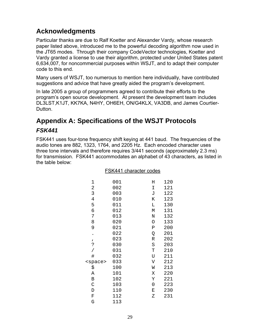## <span id="page-28-0"></span>**Acknowledgments**

Particular thanks are due to Ralf Koetter and Alexander Vardy, whose research paper listed above, introduced me to the powerful decoding algorithm now used in the JT65 modes. Through their company CodeVector technologies, Koetter and Vardy granted a license to use their algorithm, protected under United States patent 6,634,007, for noncommercial purposes within WSJT, and to adapt their computer code to this end.

Many users of WSJT, too numerous to mention here individually, have contributed suggestions and advice that have greatly aided the program's development.

In late 2005 a group of programmers agreed to contribute their efforts to the program's open source development. At present the development team includes DL3LST,K1JT, KK7KA, N4HY, OH6EH, ON/G4KLX, VA3DB, and James Courtier-Dutton.

## **Appendix A: Specifications of the WSJT Protocols**

#### *FSK441*

FSK441 uses four-tone frequency shift keying at 441 baud. The frequencies of the audio tones are 882, 1323, 1764, and 2205 Hz. Each encoded character uses three tone intervals and therefore requires 3/441 seconds (approximately 2.3 ms) for transmission. FSK441 accommodates an alphabet of 43 characters, as listed in the table below:

| 1               | 001 | Η | 120 |
|-----------------|-----|---|-----|
| 2               | 002 | Ι | 121 |
| 3               | 003 | J | 122 |
| 4               | 010 | Κ | 123 |
| 5               | 011 | Г | 130 |
| 6               | 012 | М | 131 |
| 7               | 013 | N | 132 |
| 8               | 020 | O | 133 |
| 9               | 021 | Ρ | 200 |
|                 | 022 | Q | 201 |
| $\mathbf{r}$    | 023 | R | 202 |
| د:              | 030 | S | 203 |
|                 | 031 | T | 210 |
| #               | 032 | U | 211 |
| <space></space> | 033 | V | 212 |
| \$              | 100 | W | 213 |
| Α               | 101 | Χ | 220 |
| B               | 102 | Υ | 221 |
| $\mathcal{C}$   | 103 | 0 | 223 |
| D               | 110 | Е | 230 |
| $\mathbf F$     | 112 | Ζ | 231 |
| G               | 113 |   |     |

#### FSK441 character codes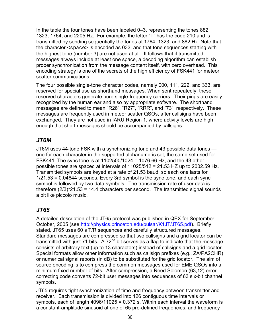In the table the four tones have been labeled 0–3, representing the tones 882, 1323, 1764, and 2205 Hz. For example, the letter "T" has the code 210 and is transmitted by sending sequentially the tones at 1764, 1323, and 882 Hz. Note that the character <space> is encoded as 033, and that tone sequences starting with the highest tone (number 3) are not used at all. It follows that if transmitted messages always include at least one space, a decoding algorithm can establish proper synchronization from the message content itself, with zero overhead. This encoding strategy is one of the secrets of the high efficiency of FSK441 for meteor scatter communications.

The four possible single-tone character codes, namely 000, 111, 222, and 333, are reserved for special use as shorthand messages. When sent repeatedly, these reserved characters generate pure single-frequency carriers. Their pings are easily recognized by the human ear and also by appropriate software. The shorthand messages are defined to mean "R26", "R27", "RRR", and "73", respectively. These messages are frequently used in meteor scatter QSOs, after callsigns have been exchanged. They are not used in IARU Region 1, where activity levels are high enough that short messages should be accompanied by callsigns.

#### *JT6M*

JT6M uses 44-tone FSK with a synchronizing tone and 43 possible data tones one for each character in the supported alphanumeric set, the same set used for FSK441. The sync tone is at 1102500/1024 = 1076.66 Hz, and the 43 other possible tones are spaced at intervals of 11025/512 = 21.53 HZ up to 2002.59 Hz. Transmitted symbols are keyed at a rate of 21.53 baud, so each one lasts for 1/21.53 = 0.04644 seconds. Every 3rd symbol is the sync tone, and each sync symbol is followed by two data symbols. The transmission rate of user data is therefore  $(2/3)^*21.53 = 14.4$  characters per second. The transmitted signal sounds a bit like piccolo music.

## <span id="page-29-0"></span>*JT65*

A detailed description of the JT65 protocol was published in QEX for September-October, 2005 (see<http://physics.princeton.edu/pulsar/K1JT/JT65.pdf>). Briefly stated, JT65 uses 60 s T/R sequences and carefully structured messages. Standard messages are compressed so that two callsigns and a grid locator can be transmitted with just 71 bits. A  $72<sup>nd</sup>$  bit serves as a flag to indicate that the message consists of arbitrary text (up to 13 characters) instead of callsigns and a grid locator. Special formats allow other information such as callsign prefixes (e.g., ZA/PA2CHR) or numerical signal reports (in dB) to be substituted for the grid locator. The aim of source encoding is to compress the common messages used for EME QSOs into a minimum fixed number of bits. After compression, a Reed Solomon (63,12) errorcorrecting code converts 72-bit user messages into sequences of 63 six-bit channel symbols.

JT65 requires tight synchronization of time and frequency between transmitter and receiver. Each transmission is divided into 126 contiguous time intervals or symbols, each of length 4096/11025 = 0.372 s. Within each interval the waveform is a constant-amplitude sinusoid at one of 65 pre-defined frequencies, and frequency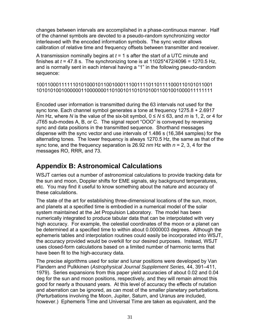<span id="page-30-0"></span>changes between intervals are accomplished in a phase-continuous manner. Half of the channel symbols are devoted to a pseudo-random synchronizing vector interleaved with the encoded information symbols. The sync vector allows calibration of relative time and frequency offsets between transmitter and receiver.

A transmission nominally begins at *t* = 1 s after the start of a UTC minute and finishes at  $t = 47.8$  s. The synchronizing tone is at  $11025*472/4096 = 1270.5$  Hz, and is normally sent in each interval having a "1" in the following pseudo-random sequence:

```
100110001111110101000101100100011100111101101111000110101011001 
101010100100000011000000011010010110101010011001001000011111111
```
Encoded user information is transmitted during the 63 intervals not used for the sync tone. Each channel symbol generates a tone at frequency 1275.8 + 2.6917 *Nm* Hz, where *N* is the value of the six-bit symbol, 0 ≤ *N* ≤ 63, and *m* is 1, 2, or 4 for JT65 sub-modes A, B, or C. The signal report "OOO" is conveyed by reversing sync and data positions in the transmitted sequence. Shorthand messages dispense with the sync vector and use intervals of 1.486 s (16,384 samples) for the alternating tones. The lower frequency is always 1270.5 Hz, the same as that of the sync tone, and the frequency separation is 26.92 *nm* Hz with *n* = 2, 3, 4 for the messages RO, RRR, and 73.

## **Appendix B: Astronomical Calculations**

WSJT carries out a number of astronomical calculations to provide tracking data for the sun and moon, Doppler shifts for EME signals, sky background temperatures, etc. You may find it useful to know something about the nature and accuracy of these calculations.

The state of the art for establishing three-dimensional locations of the sun, moon, and planets at a specified time is embodied in a numerical model of the solar system maintained at the Jet Propulsion Laboratory. The model has been numerically integrated to produce tabular data that can be interpolated with very high accuracy. For example, the celestial coordinates of the moon or a planet can be determined at a specified time to within about 0.0000003 degrees. Although the ephemeris tables and interpolation routines could easily be incorporated into WSJT, the accuracy provided would be overkill for our desired purposes. Instead, WSJT uses closed-form calculations based on a limited number of harmonic terms that have been fit to the high-accuracy data.

The precise algorithms used for solar and lunar positions were developed by Van Flandern and Pulkkinen (*Astrophysical Journal Supplement Series,* 44, 391–411, 1979). Series expansions from this paper yield accuracies of about 0.02 and 0.04 deg for the sun and moon positions, respectively, and they will remain almost this good for nearly a thousand years. At this level of accuracy the effects of nutation and aberration can be ignored, as can most of the smaller planetary perturbations. (Perturbations involving the Moon, Jupiter, Saturn, and Uranus are included, however.) Ephemeris Time and Universal Time are taken as equivalent, and the